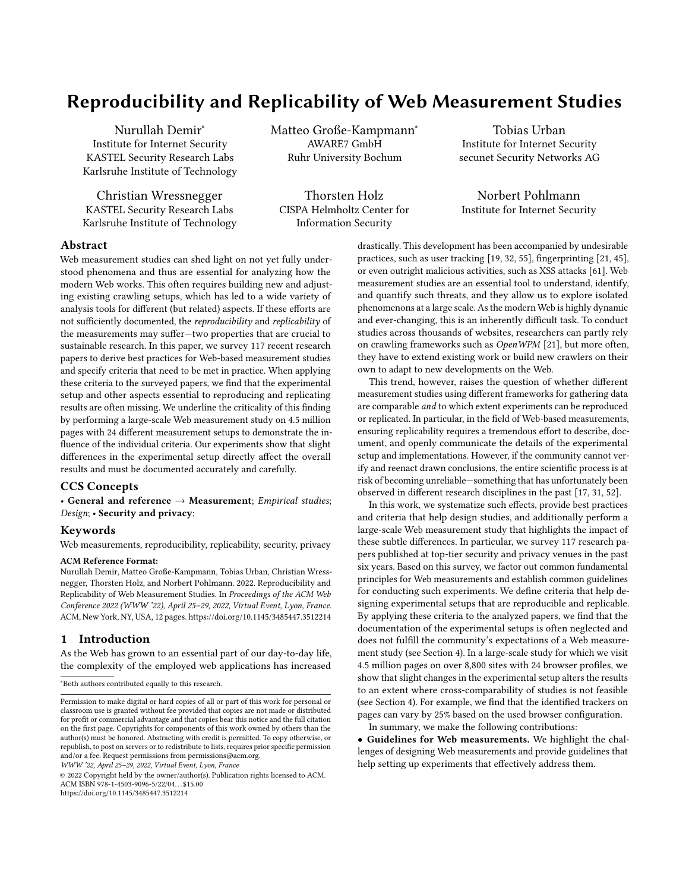# Reproducibility and Replicability of Web Measurement Studies

[Nurullah Demir](https://orcid.org/0000-0001-8721-4412)<sup>∗</sup> Institute for Internet Security KASTEL Security Research Labs Karlsruhe Institute of Technology

Christian Wressnegger KASTEL Security Research Labs Karlsruhe Institute of Technology Matteo Große-Kampmann<sup>∗</sup> AWARE7 GmbH Ruhr University Bochum

[Thorsten Holz](https://orcid.org/0000-0002-2783-1264) CISPA Helmholtz Center for Information Security

[Tobias Urban](https://orcid.org/0000-0003-0908-0038) Institute for Internet Security secunet Security Networks AG

Norbert Pohlmann Institute for Internet Security

# Abstract

Web measurement studies can shed light on not yet fully understood phenomena and thus are essential for analyzing how the modern Web works. This often requires building new and adjusting existing crawling setups, which has led to a wide variety of analysis tools for different (but related) aspects. If these efforts are not sufficiently documented, the reproducibility and replicability of the measurements may suffer—two properties that are crucial to sustainable research. In this paper, we survey 117 recent research papers to derive best practices for Web-based measurement studies and specify criteria that need to be met in practice. When applying these criteria to the surveyed papers, we find that the experimental setup and other aspects essential to reproducing and replicating results are often missing. We underline the criticality of this finding by performing a large-scale Web measurement study on 4.5 million pages with 24 different measurement setups to demonstrate the influence of the individual criteria. Our experiments show that slight differences in the experimental setup directly affect the overall results and must be documented accurately and carefully.

# CCS Concepts

• General and reference  $\rightarrow$  Measurement; Empirical studies; Design; • Security and privacy;

## Keywords

Web measurements, reproducibility, replicability, security, privacy

#### ACM Reference Format:

Nurullah Demir, Matteo Große-Kampmann, Tobias Urban, Christian Wressnegger, Thorsten Holz, and Norbert Pohlmann. 2022. Reproducibility and Replicability of Web Measurement Studies. In Proceedings of the ACM Web Conference 2022 (WWW '22), April 25–29, 2022, Virtual Event, Lyon, France. ACM, New York, NY, USA, [12](#page-11-0) pages.<https://doi.org/10.1145/3485447.3512214>

## 1 Introduction

As the Web has grown to an essential part of our day-to-day life, the complexity of the employed web applications has increased

WWW '22, April 25–29, 2022, Virtual Event, Lyon, France

© 2022 Copyright held by the owner/author(s). Publication rights licensed to ACM. ACM ISBN 978-1-4503-9096-5/22/04. . . \$15.00 <https://doi.org/10.1145/3485447.3512214>

drastically. This development has been accompanied by undesirable practices, such as user tracking [\[19,](#page-8-0) [32,](#page-8-1) [55\]](#page-9-0), fingerprinting [\[21,](#page-8-2) [45\]](#page-8-3), or even outright malicious activities, such as XSS attacks [\[61\]](#page-9-1). Web measurement studies are an essential tool to understand, identify, and quantify such threats, and they allow us to explore isolated phenomenons at a large scale. As the modern Web is highly dynamic and ever-changing, this is an inherently difficult task. To conduct studies across thousands of websites, researchers can partly rely on crawling frameworks such as OpenWPM [\[21\]](#page-8-2), but more often, they have to extend existing work or build new crawlers on their own to adapt to new developments on the Web.

This trend, however, raises the question of whether different measurement studies using different frameworks for gathering data are comparable and to which extent experiments can be reproduced or replicated. In particular, in the field of Web-based measurements, ensuring replicability requires a tremendous effort to describe, document, and openly communicate the details of the experimental setup and implementations. However, if the community cannot verify and reenact drawn conclusions, the entire scientific process is at risk of becoming unreliable—something that has unfortunately been observed in different research disciplines in the past [\[17,](#page-8-4) [31,](#page-8-5) [52\]](#page-9-2).

In this work, we systematize such effects, provide best practices and criteria that help design studies, and additionally perform a large-scale Web measurement study that highlights the impact of these subtle differences. In particular, we survey 117 research papers published at top-tier security and privacy venues in the past six years. Based on this survey, we factor out common fundamental principles for Web measurements and establish common guidelines for conducting such experiments. We define criteria that help designing experimental setups that are reproducible and replicable. By applying these criteria to the analyzed papers, we find that the documentation of the experimental setups is often neglected and does not fulfill the community's expectations of a Web measurement study (see Section [4\)](#page-4-0). In a large-scale study for which we visit 4.5 million pages on over 8,800 sites with 24 browser profiles, we show that slight changes in the experimental setup alters the results to an extent where cross-comparability of studies is not feasible (see Section [4\)](#page-4-0). For example, we find that the identified trackers on pages can vary by 25% based on the used browser configuration. In summary, we make the following contributions:

• Guidelines for Web measurements. We highlight the challenges of designing Web measurements and provide guidelines that help setting up experiments that effectively address them.

<sup>∗</sup>Both authors contributed equally to this research.

Permission to make digital or hard copies of all or part of this work for personal or classroom use is granted without fee provided that copies are not made or distributed for profit or commercial advantage and that copies bear this notice and the full citation on the first page. Copyrights for components of this work owned by others than the author(s) must be honored. Abstracting with credit is permitted. To copy otherwise, or republish, to post on servers or to redistribute to lists, requires prior specific permission and/or a fee. Request permissions from permissions@acm.org.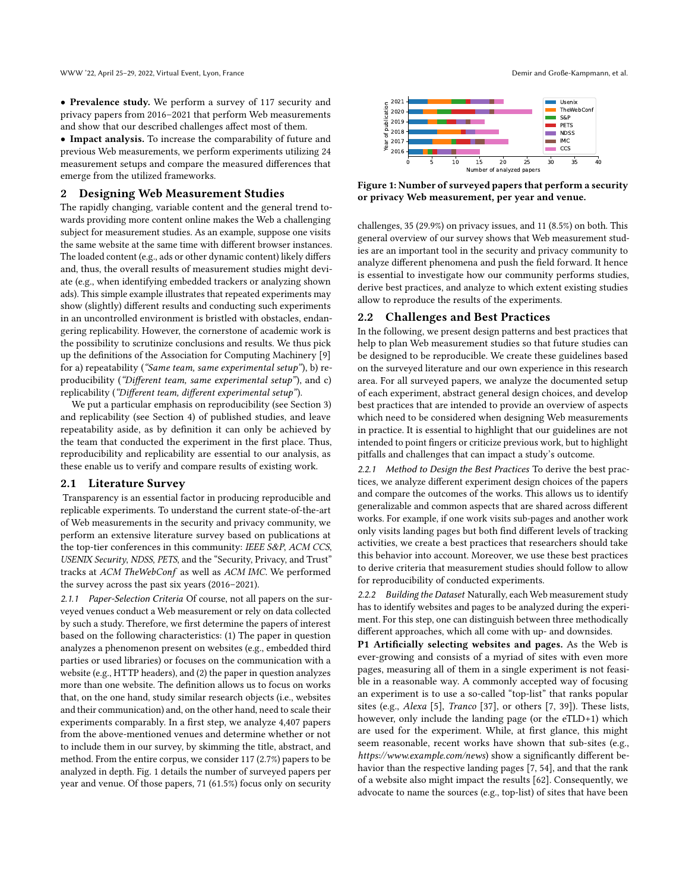• Prevalence study. We perform a survey of 117 security and privacy papers from 2016–2021 that perform Web measurements and show that our described challenges affect most of them.

• Impact analysis. To increase the comparability of future and previous Web measurements, we perform experiments utilizing 24 measurement setups and compare the measured differences that emerge from the utilized frameworks.

## 2 Designing Web Measurement Studies

The rapidly changing, variable content and the general trend towards providing more content online makes the Web a challenging subject for measurement studies. As an example, suppose one visits the same website at the same time with different browser instances. The loaded content (e.g., ads or other dynamic content) likely differs and, thus, the overall results of measurement studies might deviate (e.g., when identifying embedded trackers or analyzing shown ads). This simple example illustrates that repeated experiments may show (slightly) different results and conducting such experiments in an uncontrolled environment is bristled with obstacles, endangering replicability. However, the cornerstone of academic work is the possibility to scrutinize conclusions and results. We thus pick up the definitions of the Association for Computing Machinery [\[9\]](#page-8-6) for a) repeatability ("Same team, same experimental setup"), b) reproducibility ("Different team, same experimental setup"), and c) replicability ("Different team, different experimental setup").

We put a particular emphasis on reproducibility (see Section [3\)](#page-3-0) and replicability (see Section [4\)](#page-4-0) of published studies, and leave repeatability aside, as by definition it can only be achieved by the team that conducted the experiment in the first place. Thus, reproducibility and replicability are essential to our analysis, as these enable us to verify and compare results of existing work.

### <span id="page-1-1"></span>2.1 Literature Survey

Transparency is an essential factor in producing reproducible and replicable experiments. To understand the current state-of-the-art of Web measurements in the security and privacy community, we perform an extensive literature survey based on publications at the top-tier conferences in this community: IEEE S&P, ACM CCS, USENIX Security, NDSS, PETS, and the "Security, Privacy, and Trust" tracks at ACM TheWebConf as well as ACM IMC. We performed the survey across the past six years (2016–2021).

2.1.1 Paper-Selection Criteria Of course, not all papers on the surveyed venues conduct a Web measurement or rely on data collected by such a study. Therefore, we first determine the papers of interest based on the following characteristics: (1) The paper in question analyzes a phenomenon present on websites (e.g., embedded third parties or used libraries) or focuses on the communication with a website (e.g., HTTP headers), and (2) the paper in question analyzes more than one website. The definition allows us to focus on works that, on the one hand, study similar research objects (i.e., websites and their communication) and, on the other hand, need to scale their experiments comparably. In a first step, we analyze 4,407 papers from the above-mentioned venues and determine whether or not to include them in our survey, by skimming the title, abstract, and method. From the entire corpus, we consider 117 (2.7%) papers to be analyzed in depth. Fig. [1](#page-1-0) details the number of surveyed papers per year and venue. Of those papers, 71 (61.5%) focus only on security

<span id="page-1-0"></span>

Figure 1: Number of surveyed papers that perform a security or privacy Web measurement, per year and venue.

challenges, 35 (29.9%) on privacy issues, and 11 (8.5%) on both. This general overview of our survey shows that Web measurement studies are an important tool in the security and privacy community to analyze different phenomena and push the field forward. It hence is essential to investigate how our community performs studies, derive best practices, and analyze to which extent existing studies allow to reproduce the results of the experiments.

## 2.2 Challenges and Best Practices

In the following, we present design patterns and best practices that help to plan Web measurement studies so that future studies can be designed to be reproducible. We create these guidelines based on the surveyed literature and our own experience in this research area. For all surveyed papers, we analyze the documented setup of each experiment, abstract general design choices, and develop best practices that are intended to provide an overview of aspects which need to be considered when designing Web measurements in practice. It is essential to highlight that our guidelines are not intended to point fingers or criticize previous work, but to highlight pitfalls and challenges that can impact a study's outcome.

2.2.1 Method to Design the Best Practices To derive the best practices, we analyze different experiment design choices of the papers and compare the outcomes of the works. This allows us to identify generalizable and common aspects that are shared across different works. For example, if one work visits sub-pages and another work only visits landing pages but both find different levels of tracking activities, we create a best practices that researchers should take this behavior into account. Moreover, we use these best practices to derive criteria that measurement studies should follow to allow for reproducibility of conducted experiments.

2.2.2 Building the Dataset Naturally, each Web measurement study has to identify websites and pages to be analyzed during the experiment. For this step, one can distinguish between three methodically different approaches, which all come with up- and downsides.

P1 Artificially selecting websites and pages. As the Web is ever-growing and consists of a myriad of sites with even more pages, measuring all of them in a single experiment is not feasible in a reasonable way. A commonly accepted way of focusing an experiment is to use a so-called "top-list" that ranks popular sites (e.g., Alexa [\[5\]](#page-8-7), Tranco [\[37\]](#page-8-8), or others [\[7,](#page-8-9) [39\]](#page-8-10)). These lists, however, only include the landing page (or the eTLD+1) which are used for the experiment. While, at first glance, this might seem reasonable, recent works have shown that sub-sites (e.g., https://www.example.com/news) show a significantly different behavior than the respective landing pages [\[7,](#page-8-9) [54\]](#page-9-3), and that the rank of a website also might impact the results [\[62\]](#page-9-4). Consequently, we advocate to name the sources (e.g., top-list) of sites that have been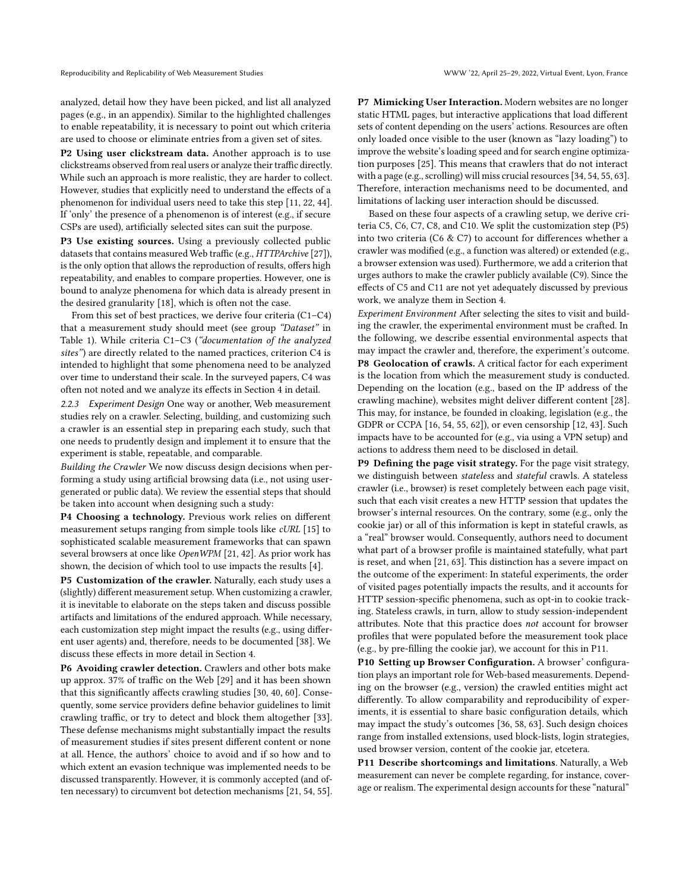analyzed, detail how they have been picked, and list all analyzed pages (e.g., in an appendix). Similar to the highlighted challenges to enable repeatability, it is necessary to point out which criteria are used to choose or eliminate entries from a given set of sites.

P2 Using user clickstream data. Another approach is to use clickstreams observed from real users or analyze their traffic directly. While such an approach is more realistic, they are harder to collect. However, studies that explicitly need to understand the effects of a phenomenon for individual users need to take this step [\[11,](#page-8-11) [22,](#page-8-12) [44\]](#page-8-13). If 'only' the presence of a phenomenon is of interest (e.g., if secure CSPs are used), artificially selected sites can suit the purpose.

P3 Use existing sources. Using a previously collected public datasets that contains measured Web traffic (e.g., HTTPArchive [\[27\]](#page-8-14)), is the only option that allows the reproduction of results, offers high repeatability, and enables to compare properties. However, one is bound to analyze phenomena for which data is already present in the desired granularity [\[18\]](#page-8-15), which is often not the case.

From this set of best practices, we derive four criteria (C1–C4) that a measurement study should meet (see group "Dataset" in Table [1\)](#page-4-1). While criteria C1–C3 ("documentation of the analyzed sites") are directly related to the named practices, criterion C4 is intended to highlight that some phenomena need to be analyzed over time to understand their scale. In the surveyed papers, C4 was often not noted and we analyze its effects in Section [4](#page-4-0) in detail.

2.2.3 Experiment Design One way or another, Web measurement studies rely on a crawler. Selecting, building, and customizing such a crawler is an essential step in preparing each study, such that one needs to prudently design and implement it to ensure that the experiment is stable, repeatable, and comparable.

Building the Crawler We now discuss design decisions when performing a study using artificial browsing data (i.e., not using usergenerated or public data). We review the essential steps that should be taken into account when designing such a study:

P4 Choosing a technology. Previous work relies on different measurement setups ranging from simple tools like cURL [\[15\]](#page-8-16) to sophisticated scalable measurement frameworks that can spawn several browsers at once like OpenWPM [\[21,](#page-8-2) [42\]](#page-8-17). As prior work has shown, the decision of which tool to use impacts the results [\[4\]](#page-8-18).

P5 Customization of the crawler. Naturally, each study uses a (slightly) different measurement setup. When customizing a crawler, it is inevitable to elaborate on the steps taken and discuss possible artifacts and limitations of the endured approach. While necessary, each customization step might impact the results (e.g., using different user agents) and, therefore, needs to be documented [\[38\]](#page-8-19). We discuss these effects in more detail in Section [4.](#page-4-0)

P6 Avoiding crawler detection. Crawlers and other bots make up approx. 37% of traffic on the Web [\[29\]](#page-8-20) and it has been shown that this significantly affects crawling studies [\[30,](#page-8-21) [40,](#page-8-22) [60\]](#page-9-5). Consequently, some service providers define behavior guidelines to limit crawling traffic, or try to detect and block them altogether [\[33\]](#page-8-23). These defense mechanisms might substantially impact the results of measurement studies if sites present different content or none at all. Hence, the authors' choice to avoid and if so how and to which extent an evasion technique was implemented needs to be discussed transparently. However, it is commonly accepted (and often necessary) to circumvent bot detection mechanisms [\[21,](#page-8-2) [54,](#page-9-3) [55\]](#page-9-0). P7 Mimicking User Interaction. Modern websites are no longer static HTML pages, but interactive applications that load different sets of content depending on the users' actions. Resources are often only loaded once visible to the user (known as "lazy loading") to improve the website's loading speed and for search engine optimization purposes [\[25\]](#page-8-24). This means that crawlers that do not interact with a page (e.g., scrolling) will miss crucial resources [\[34,](#page-8-25) [54,](#page-9-3) [55,](#page-9-0) [63\]](#page-9-6). Therefore, interaction mechanisms need to be documented, and limitations of lacking user interaction should be discussed.

Based on these four aspects of a crawling setup, we derive criteria C5, C6, C7, C8, and C10. We split the customization step (P5) into two criteria (C6 & C7) to account for differences whether a crawler was modified (e.g., a function was altered) or extended (e.g., a browser extension was used). Furthermore, we add a criterion that urges authors to make the crawler publicly available (C9). Since the effects of C5 and C11 are not yet adequately discussed by previous work, we analyze them in Section [4.](#page-4-0)

Experiment Environment After selecting the sites to visit and building the crawler, the experimental environment must be crafted. In the following, we describe essential environmental aspects that may impact the crawler and, therefore, the experiment's outcome. P8 Geolocation of crawls. A critical factor for each experiment is the location from which the measurement study is conducted. Depending on the location (e.g., based on the IP address of the crawling machine), websites might deliver different content [\[28\]](#page-8-26). This may, for instance, be founded in cloaking, legislation (e.g., the GDPR or CCPA [\[16,](#page-8-27) [54,](#page-9-3) [55,](#page-9-0) [62\]](#page-9-4)), or even censorship [\[12,](#page-8-28) [43\]](#page-8-29). Such impacts have to be accounted for (e.g., via using a VPN setup) and actions to address them need to be disclosed in detail.

P9 Defining the page visit strategy. For the page visit strategy, we distinguish between stateless and stateful crawls. A stateless crawler (i.e., browser) is reset completely between each page visit, such that each visit creates a new HTTP session that updates the browser's internal resources. On the contrary, some (e.g., only the cookie jar) or all of this information is kept in stateful crawls, as a "real" browser would. Consequently, authors need to document what part of a browser profile is maintained statefully, what part is reset, and when [\[21,](#page-8-2) [63\]](#page-9-6). This distinction has a severe impact on the outcome of the experiment: In stateful experiments, the order of visited pages potentially impacts the results, and it accounts for HTTP session-specific phenomena, such as opt-in to cookie tracking. Stateless crawls, in turn, allow to study session-independent attributes. Note that this practice does not account for browser profiles that were populated before the measurement took place (e.g., by pre-filling the cookie jar), we account for this in P11.

P10 Setting up Browser Configuration. A browser' configuration plays an important role for Web-based measurements. Depending on the browser (e.g., version) the crawled entities might act differently. To allow comparability and reproducibility of experiments, it is essential to share basic configuration details, which may impact the study's outcomes [\[36,](#page-8-30) [58,](#page-9-7) [63\]](#page-9-6). Such design choices range from installed extensions, used block-lists, login strategies, used browser version, content of the cookie jar, etcetera.

P11 Describe shortcomings and limitations. Naturally, a Web measurement can never be complete regarding, for instance, coverage or realism. The experimental design accounts for these "natural"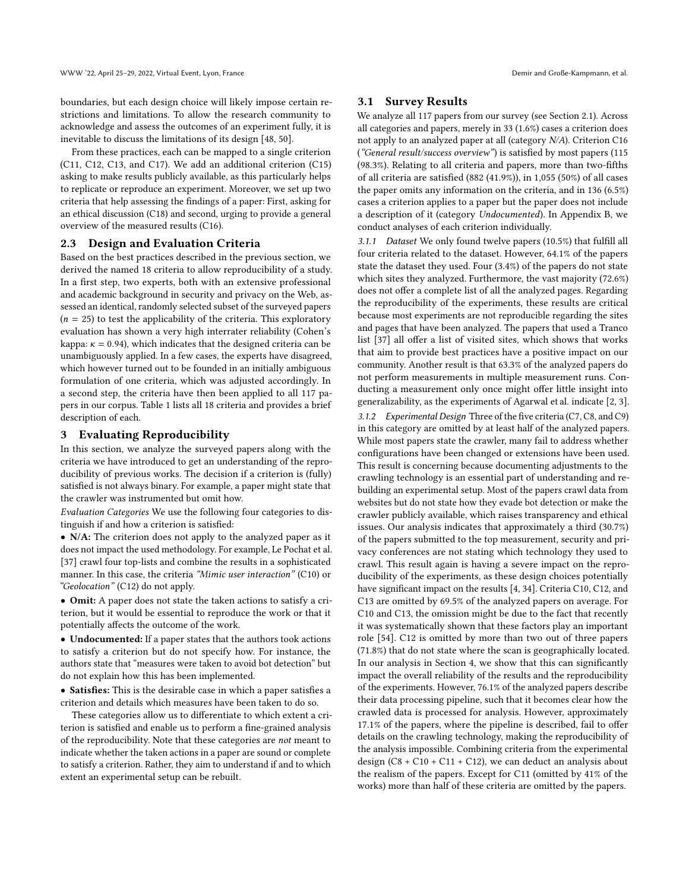boundaries, but each design choice will likely impose certain restrictions and limitations. To allow the research community to acknowledge and assess the outcomes of an experiment fully, it is inevitable to discuss the limitations of its design [\[48,](#page-8-31) [50\]](#page-8-32).

From these practices, each can be mapped to a single criterion (C11, C12, C13, and C17). We add an additional criterion (C15) asking to make results publicly available, as this particularly helps to replicate or reproduce an experiment. Moreover, we set up two criteria that help assessing the findings of a paper: First, asking for an ethical discussion (C18) and second, urging to provide a general overview of the measured results (C16).

## 2.3 Design and Evaluation Criteria

Based on the best practices described in the previous section, we derived the named 18 criteria to allow reproducibility of a study. In a first step, two experts, both with an extensive professional and academic background in security and privacy on the Web, assessed an identical, randomly selected subset of the surveyed papers  $(n = 25)$  to test the applicability of the criteria. This exploratory evaluation has shown a very high interrater reliability (Cohen's kappa:  $\kappa = 0.94$ ), which indicates that the designed criteria can be unambiguously applied. In a few cases, the experts have disagreed, which however turned out to be founded in an initially ambiguous formulation of one criteria, which was adjusted accordingly. In a second step, the criteria have then been applied to all 117 papers in our corpus. Table [1](#page-4-1) lists all 18 criteria and provides a brief description of each.

## <span id="page-3-0"></span>3 Evaluating Reproducibility

In this section, we analyze the surveyed papers along with the criteria we have introduced to get an understanding of the reproducibility of previous works. The decision if a criterion is (fully) satisfied is not always binary. For example, a paper might state that the crawler was instrumented but omit how.

Evaluation Categories We use the following four categories to distinguish if and how a criterion is satisfied:

• N/A: The criterion does not apply to the analyzed paper as it does not impact the used methodology. For example, Le Pochat et al. [\[37\]](#page-8-8) crawl four top-lists and combine the results in a sophisticated manner. In this case, the criteria "Mimic user interaction" (C10) or "Geolocation" (C12) do not apply.

• Omit: A paper does not state the taken actions to satisfy a criterion, but it would be essential to reproduce the work or that it potentially affects the outcome of the work.

• Undocumented: If a paper states that the authors took actions to satisfy a criterion but do not specify how. For instance, the authors state that "measures were taken to avoid bot detection" but do not explain how this has been implemented.

• Satisfies: This is the desirable case in which a paper satisfies a criterion and details which measures have been taken to do so.

These categories allow us to differentiate to which extent a criterion is satisfied and enable us to perform a fine-grained analysis of the reproducibility. Note that these categories are not meant to indicate whether the taken actions in a paper are sound or complete to satisfy a criterion. Rather, they aim to understand if and to which extent an experimental setup can be rebuilt.

## 3.1 Survey Results

We analyze all 117 papers from our survey (see Section [2.1\)](#page-1-1). Across all categories and papers, merely in 33 (1.6%) cases a criterion does not apply to an analyzed paper at all (category N/A). Criterion C16 ("General result/success overview") is satisfied by most papers (115 (98.3%). Relating to all criteria and papers, more than two-fifths of all criteria are satisfied (882 (41.9%)), in 1,055 (50%) of all cases the paper omits any information on the criteria, and in 136 (6.5%) cases a criterion applies to a paper but the paper does not include a description of it (category Undocumented). In Appendix [B,](#page-9-8) we conduct analyses of each criterion individually.

3.1.1 Dataset We only found twelve papers (10.5%) that fulfill all four criteria related to the dataset. However, 64.1% of the papers state the dataset they used. Four (3.4%) of the papers do not state which sites they analyzed. Furthermore, the vast majority (72.6%) does not offer a complete list of all the analyzed pages. Regarding the reproducibility of the experiments, these results are critical because most experiments are not reproducible regarding the sites and pages that have been analyzed. The papers that used a Tranco list [\[37\]](#page-8-8) all offer a list of visited sites, which shows that works that aim to provide best practices have a positive impact on our community. Another result is that 63.3% of the analyzed papers do not perform measurements in multiple measurement runs. Conducting a measurement only once might offer little insight into generalizability, as the experiments of Agarwal et al. indicate [\[2,](#page-8-33) [3\]](#page-8-34). 3.1.2 Experimental Design Three of the five criteria (C7, C8, and C9) in this category are omitted by at least half of the analyzed papers. While most papers state the crawler, many fail to address whether configurations have been changed or extensions have been used. This result is concerning because documenting adjustments to the crawling technology is an essential part of understanding and rebuilding an experimental setup. Most of the papers crawl data from websites but do not state how they evade bot detection or make the crawler publicly available, which raises transparency and ethical issues. Our analysis indicates that approximately a third (30.7%) of the papers submitted to the top measurement, security and privacy conferences are not stating which technology they used to crawl. This result again is having a severe impact on the reproducibility of the experiments, as these design choices potentially have significant impact on the results [\[4,](#page-8-18) [34\]](#page-8-25). Criteria C10, C12, and C13 are omitted by 69.5% of the analyzed papers on average. For C10 and C13, the omission might be due to the fact that recently it was systematically shown that these factors play an important role [\[54\]](#page-9-3). C12 is omitted by more than two out of three papers (71.8%) that do not state where the scan is geographically located. In our analysis in Section [4,](#page-4-0) we show that this can significantly impact the overall reliability of the results and the reproducibility of the experiments. However, 76.1% of the analyzed papers describe their data processing pipeline, such that it becomes clear how the crawled data is processed for analysis. However, approximately 17.1% of the papers, where the pipeline is described, fail to offer details on the crawling technology, making the reproducibility of the analysis impossible. Combining criteria from the experimental design  $(C8 + C10 + C11 + C12)$ , we can deduct an analysis about the realism of the papers. Except for C11 (omitted by 41% of the works) more than half of these criteria are omitted by the papers.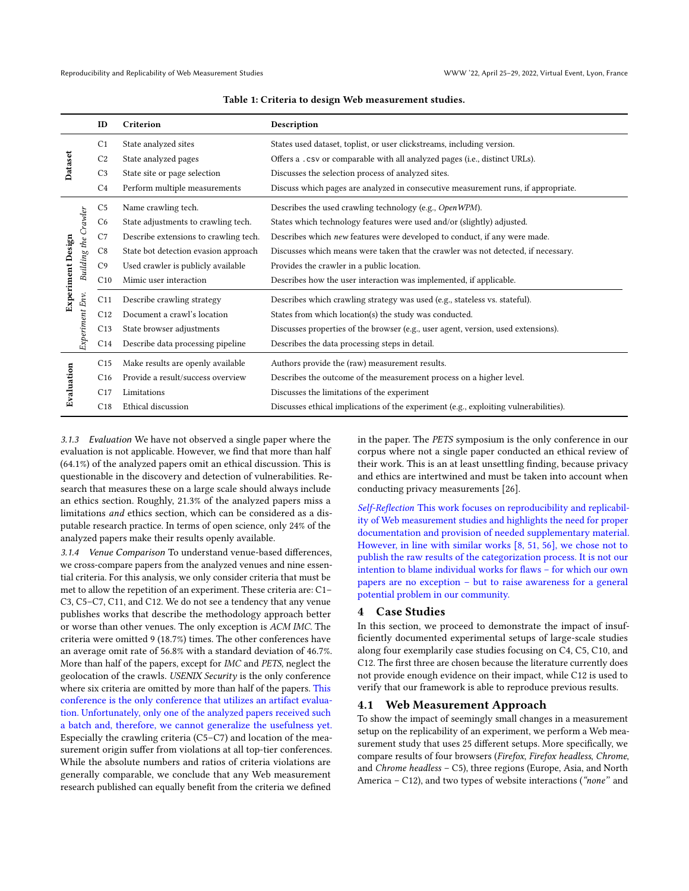<span id="page-4-1"></span>

|                   |                      | ID              | Criterion                             | Description                                                                          |
|-------------------|----------------------|-----------------|---------------------------------------|--------------------------------------------------------------------------------------|
|                   |                      | C <sub>1</sub>  | State analyzed sites                  | States used dataset, toplist, or user clickstreams, including version.               |
| Dataset           |                      | C <sub>2</sub>  | State analyzed pages                  | Offers a .csv or comparable with all analyzed pages (i.e., distinct URLs).           |
|                   |                      | C <sub>3</sub>  | State site or page selection          | Discusses the selection process of analyzed sites.                                   |
|                   |                      | C4              | Perform multiple measurements         | Discuss which pages are analyzed in consecutive measurement runs, if appropriate.    |
| Experiment Design | Building the Crawler | C <sub>5</sub>  | Name crawling tech.                   | Describes the used crawling technology (e.g., OpenWPM).                              |
|                   |                      | C <sub>6</sub>  | State adjustments to crawling tech.   | States which technology features were used and/or (slightly) adjusted.               |
|                   |                      | C7              | Describe extensions to crawling tech. | Describes which new features were developed to conduct, if any were made.            |
|                   |                      | C8              | State bot detection evasion approach  | Discusses which means were taken that the crawler was not detected, if necessary.    |
|                   |                      | C <sub>9</sub>  | Used crawler is publicly available    | Provides the crawler in a public location.                                           |
|                   |                      | C10             | Mimic user interaction                | Describes how the user interaction was implemented, if applicable.                   |
|                   |                      | C11             | Describe crawling strategy            | Describes which crawling strategy was used (e.g., stateless vs. stateful).           |
|                   | Experiment Env.      | C12             | Document a crawl's location           | States from which location(s) the study was conducted.                               |
|                   |                      | C13             | State browser adjustments             | Discusses properties of the browser (e.g., user agent, version, used extensions).    |
|                   |                      | C14             | Describe data processing pipeline     | Describes the data processing steps in detail.                                       |
| Evaluation        |                      | C <sub>15</sub> | Make results are openly available     | Authors provide the (raw) measurement results.                                       |
|                   |                      | C16             | Provide a result/success overview     | Describes the outcome of the measurement process on a higher level.                  |
|                   |                      | C17             | Limitations                           | Discusses the limitations of the experiment                                          |
|                   |                      | C18             | Ethical discussion                    | Discusses ethical implications of the experiment (e.g., exploiting vulnerabilities). |

Table 1: Criteria to design Web measurement studies.

3.1.3 Evaluation We have not observed a single paper where the evaluation is not applicable. However, we find that more than half (64.1%) of the analyzed papers omit an ethical discussion. This is questionable in the discovery and detection of vulnerabilities. Research that measures these on a large scale should always include an ethics section. Roughly, 21.3% of the analyzed papers miss a limitations and ethics section, which can be considered as a disputable research practice. In terms of open science, only 24% of the analyzed papers make their results openly available.

3.1.4 Venue Comparison To understand venue-based differences, we cross-compare papers from the analyzed venues and nine essential criteria. For this analysis, we only consider criteria that must be met to allow the repetition of an experiment. These criteria are: C1– C3, C5–C7, C11, and C12. We do not see a tendency that any venue publishes works that describe the methodology approach better or worse than other venues. The only exception is ACM IMC. The criteria were omitted 9 (18.7%) times. The other conferences have an average omit rate of 56.8% with a standard deviation of 46.7%. More than half of the papers, except for IMC and PETS, neglect the geolocation of the crawls. USENIX Security is the only conference where six criteria are omitted by more than half of the papers. This conference is the only conference that utilizes an artifact evaluation. Unfortunately, only one of the analyzed papers received such a batch and, therefore, we cannot generalize the usefulness yet. Especially the crawling criteria (C5–C7) and location of the measurement origin suffer from violations at all top-tier conferences. While the absolute numbers and ratios of criteria violations are generally comparable, we conclude that any Web measurement research published can equally benefit from the criteria we defined

in the paper. The PETS symposium is the only conference in our corpus where not a single paper conducted an ethical review of their work. This is an at least unsettling finding, because privacy and ethics are intertwined and must be taken into account when conducting privacy measurements [\[26\]](#page-8-35).

Self-Reflection This work focuses on reproducibility and replicability of Web measurement studies and highlights the need for proper documentation and provision of needed supplementary material. However, in line with similar works [\[8,](#page-8-36) [51,](#page-8-37) [56\]](#page-9-9), we chose not to publish the raw results of the categorization process. It is not our intention to blame individual works for flaws – for which our own papers are no exception – but to raise awareness for a general potential problem in our community.

## <span id="page-4-0"></span>4 Case Studies

In this section, we proceed to demonstrate the impact of insufficiently documented experimental setups of large-scale studies along four exemplarily case studies focusing on C4, C5, C10, and C12. The first three are chosen because the literature currently does not provide enough evidence on their impact, while C12 is used to verify that our framework is able to reproduce previous results.

# 4.1 Web Measurement Approach

To show the impact of seemingly small changes in a measurement setup on the replicability of an experiment, we perform a Web measurement study that uses 25 different setups. More specifically, we compare results of four browsers (Firefox, Firefox headless, Chrome, and Chrome headless – C5), three regions (Europe, Asia, and North America – C12), and two types of website interactions ("none'' and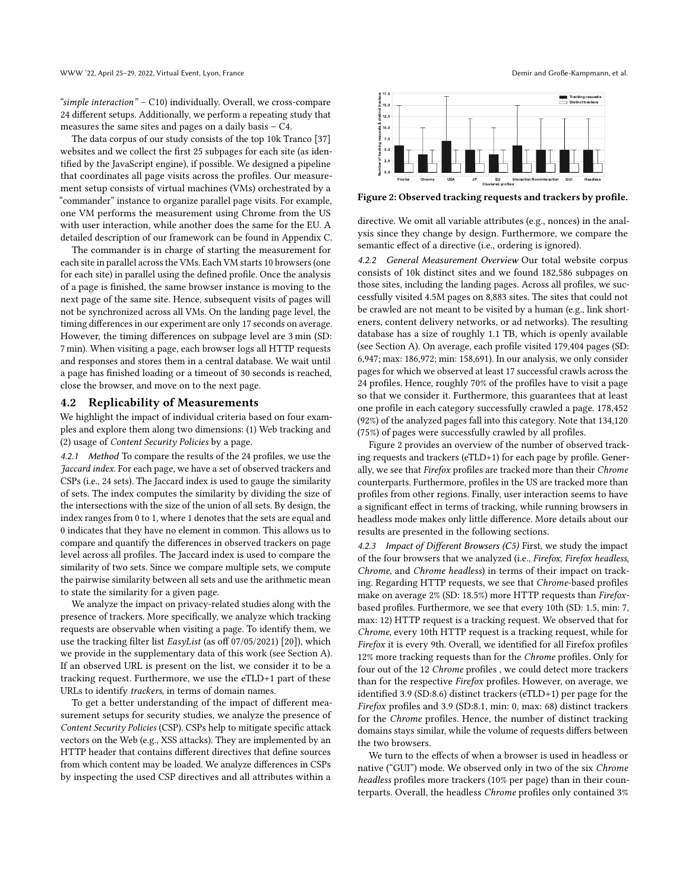"simple interaction" – C10) individually. Overall, we cross-compare 24 different setups. Additionally, we perform a repeating study that measures the same sites and pages on a daily basis – C4.

The data corpus of our study consists of the top 10k Tranco [\[37\]](#page-8-8) websites and we collect the first 25 subpages for each site (as identified by the JavaScript engine), if possible. We designed a pipeline that coordinates all page visits across the profiles. Our measurement setup consists of virtual machines (VMs) orchestrated by a "commander" instance to organize parallel page visits. For example, one VM performs the measurement using Chrome from the US with user interaction, while another does the same for the EU. A detailed description of our framework can be found in Appendix [C.](#page-9-10)

The commander is in charge of starting the measurement for each site in parallel across the VMs. Each VM starts 10 browsers (one for each site) in parallel using the defined profile. Once the analysis of a page is finished, the same browser instance is moving to the next page of the same site. Hence, subsequent visits of pages will not be synchronized across all VMs. On the landing page level, the timing differences in our experiment are only 17 seconds on average. However, the timing differences on subpage level are 3 min (SD: 7 min). When visiting a page, each browser logs all HTTP requests and responses and stores them in a central database. We wait until a page has finished loading or a timeout of 30 seconds is reached, close the browser, and move on to the next page.

#### <span id="page-5-1"></span>4.2 Replicability of Measurements

We highlight the impact of individual criteria based on four examples and explore them along two dimensions: (1) Web tracking and (2) usage of Content Security Policies by a page.

4.2.1 Method To compare the results of the 24 profiles, we use the Jaccard index. For each page, we have a set of observed trackers and CSPs (i.e., 24 sets). The Jaccard index is used to gauge the similarity of sets. The index computes the similarity by dividing the size of the intersections with the size of the union of all sets. By design, the index ranges from 0 to 1, where 1 denotes that the sets are equal and 0 indicates that they have no element in common. This allows us to compare and quantify the differences in observed trackers on page level across all profiles. The Jaccard index is used to compare the similarity of two sets. Since we compare multiple sets, we compute the pairwise similarity between all sets and use the arithmetic mean to state the similarity for a given page.

We analyze the impact on privacy-related studies along with the presence of trackers. More specifically, we analyze which tracking requests are observable when visiting a page. To identify them, we use the tracking filter list EasyList (as off 07/05/2021) [\[20\]](#page-8-38)), which we provide in the supplementary data of this work (see Section [A\)](#page-9-11). If an observed URL is present on the list, we consider it to be a tracking request. Furthermore, we use the eTLD+1 part of these URLs to identify trackers, in terms of domain names.

To get a better understanding of the impact of different measurement setups for security studies, we analyze the presence of Content Security Policies (CSP). CSPs help to mitigate specific attack vectors on the Web (e.g., XSS attacks). They are implemented by an HTTP header that contains different directives that define sources from which content may be loaded. We analyze differences in CSPs by inspecting the used CSP directives and all attributes within a

<span id="page-5-0"></span>

Figure 2: Observed tracking requests and trackers by profile.

directive. We omit all variable attributes (e.g., nonces) in the analysis since they change by design. Furthermore, we compare the semantic effect of a directive (i.e., ordering is ignored).

4.2.2 General Measurement Overview Our total website corpus consists of 10k distinct sites and we found 182,586 subpages on those sites, including the landing pages. Across all profiles, we successfully visited 4.5M pages on 8,883 sites. The sites that could not be crawled are not meant to be visited by a human (e.g., link shorteners, content delivery networks, or ad networks). The resulting database has a size of roughly 1.1 TB, which is openly available (see Section [A\)](#page-9-11). On average, each profile visited 179,404 pages (SD: 6,947; max: 186,972; min: 158,691). In our analysis, we only consider pages for which we observed at least 17 successful crawls across the 24 profiles. Hence, roughly 70% of the profiles have to visit a page so that we consider it. Furthermore, this guarantees that at least one profile in each category successfully crawled a page. 178,452 (92%) of the analyzed pages fall into this category. Note that 134,120 (75%) of pages were successfully crawled by all profiles.

Figure [2](#page-5-0) provides an overview of the number of observed tracking requests and trackers (eTLD+1) for each page by profile. Generally, we see that Firefox profiles are tracked more than their Chrome counterparts. Furthermore, profiles in the US are tracked more than profiles from other regions. Finally, user interaction seems to have a significant effect in terms of tracking, while running browsers in headless mode makes only little difference. More details about our results are presented in the following sections.

4.2.3 Impact of Different Browsers  $(C5)$  First, we study the impact of the four browsers that we analyzed (i.e., Firefox, Firefox headless, Chrome, and Chrome headless) in terms of their impact on tracking. Regarding HTTP requests, we see that Chrome-based profiles make on average 2% (SD: 18.5%) more HTTP requests than Firefoxbased profiles. Furthermore, we see that every 10th (SD: 1.5, min: 7, max: 12) HTTP request is a tracking request. We observed that for Chrome, every 10th HTTP request is a tracking request, while for Firefox it is every 9th. Overall, we identified for all Firefox profiles 12% more tracking requests than for the Chrome profiles. Only for four out of the 12 Chrome profiles , we could detect more trackers than for the respective Firefox profiles. However, on average, we identified 3.9 (SD:8.6) distinct trackers (eTLD+1) per page for the Firefox profiles and 3.9 (SD:8.1, min: 0, max: 68) distinct trackers for the Chrome profiles. Hence, the number of distinct tracking domains stays similar, while the volume of requests differs between the two browsers.

We turn to the effects of when a browser is used in headless or native ("GUI") mode. We observed only in two of the six Chrome headless profiles more trackers (10% per page) than in their counterparts. Overall, the headless Chrome profiles only contained 3%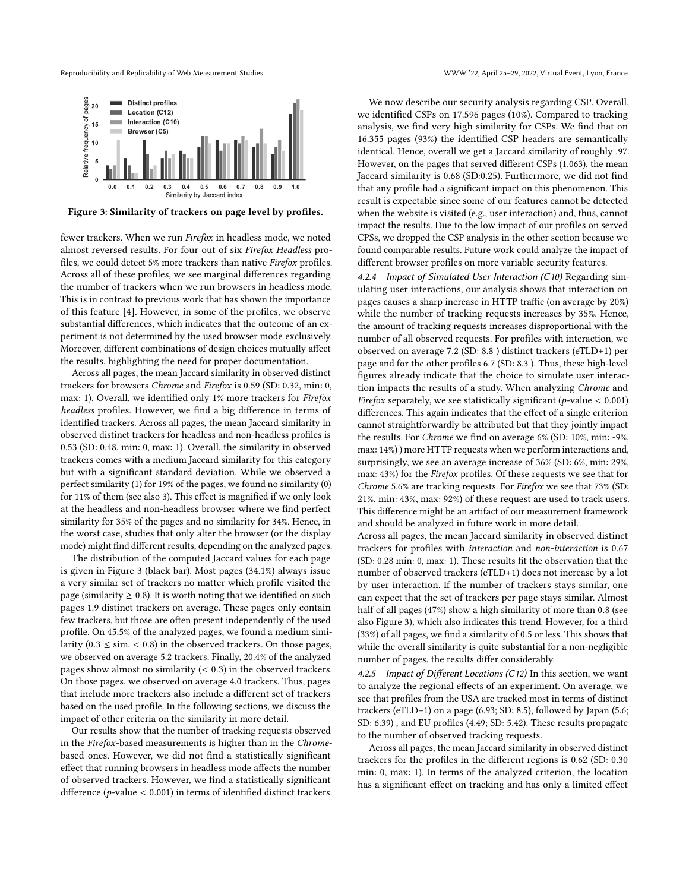Reproducibility and Replicability of Web Measurement Studies WWW '22, April 25–29, 2022, Virtual Event, Lyon, France

<span id="page-6-0"></span>

Figure 3: Similarity of trackers on page level by profiles.

fewer trackers. When we run Firefox in headless mode, we noted almost reversed results. For four out of six Firefox Headless profiles, we could detect 5% more trackers than native Firefox profiles. Across all of these profiles, we see marginal differences regarding the number of trackers when we run browsers in headless mode. This is in contrast to previous work that has shown the importance of this feature [\[4\]](#page-8-18). However, in some of the profiles, we observe substantial differences, which indicates that the outcome of an experiment is not determined by the used browser mode exclusively. Moreover, different combinations of design choices mutually affect the results, highlighting the need for proper documentation.

Across all pages, the mean Jaccard similarity in observed distinct trackers for browsers Chrome and Firefox is 0.59 (SD: 0.32, min: 0, max: 1). Overall, we identified only 1% more trackers for Firefox headless profiles. However, we find a big difference in terms of identified trackers. Across all pages, the mean Jaccard similarity in observed distinct trackers for headless and non-headless profiles is 0.53 (SD: 0.48, min: 0, max: 1). Overall, the similarity in observed trackers comes with a medium Jaccard similarity for this category but with a significant standard deviation. While we observed a perfect similarity (1) for 19% of the pages, we found no similarity (0) for 11% of them (see also [3\)](#page-6-0). This effect is magnified if we only look at the headless and non-headless browser where we find perfect similarity for 35% of the pages and no similarity for 34%. Hence, in the worst case, studies that only alter the browser (or the display mode) might find different results, depending on the analyzed pages.

The distribution of the computed Jaccard values for each page is given in Figure [3](#page-6-0) (black bar). Most pages (34.1%) always issue a very similar set of trackers no matter which profile visited the page (similarity  $\geq 0.8$ ). It is worth noting that we identified on such pages 1.9 distinct trackers on average. These pages only contain few trackers, but those are often present independently of the used profile. On 45.5% of the analyzed pages, we found a medium similarity ( $0.3 \le \text{sim.} < 0.8$ ) in the observed trackers. On those pages, we observed on average 5.2 trackers. Finally, 20.4% of the analyzed pages show almost no similarity  $($  < 0.3) in the observed trackers. On those pages, we observed on average 4.0 trackers. Thus, pages that include more trackers also include a different set of trackers based on the used profile. In the following sections, we discuss the impact of other criteria on the similarity in more detail.

Our results show that the number of tracking requests observed in the Firefox-based measurements is higher than in the Chromebased ones. However, we did not find a statistically significant effect that running browsers in headless mode affects the number of observed trackers. However, we find a statistically significant difference ( $p$ -value < 0.001) in terms of identified distinct trackers.

We now describe our security analysis regarding CSP. Overall, we identified CSPs on 17.596 pages (10%). Compared to tracking analysis, we find very high similarity for CSPs. We find that on 16.355 pages (93%) the identified CSP headers are semantically identical. Hence, overall we get a Jaccard similarity of roughly .97. However, on the pages that served different CSPs (1.063), the mean Jaccard similarity is 0.68 (SD:0.25). Furthermore, we did not find that any profile had a significant impact on this phenomenon. This result is expectable since some of our features cannot be detected when the website is visited (e.g., user interaction) and, thus, cannot impact the results. Due to the low impact of our profiles on served CPSs, we dropped the CSP analysis in the other section because we found comparable results. Future work could analyze the impact of different browser profiles on more variable security features.

4.2.4 Impact of Simulated User Interaction (C10) Regarding simulating user interactions, our analysis shows that interaction on pages causes a sharp increase in HTTP traffic (on average by 20%) while the number of tracking requests increases by 35%. Hence, the amount of tracking requests increases disproportional with the number of all observed requests. For profiles with interaction, we observed on average 7.2 (SD: 8.8 ) distinct trackers (eTLD+1) per page and for the other profiles 6.7 (SD: 8.3 ). Thus, these high-level figures already indicate that the choice to simulate user interaction impacts the results of a study. When analyzing Chrome and Firefox separately, we see statistically significant ( $p$ -value < 0.001) differences. This again indicates that the effect of a single criterion cannot straightforwardly be attributed but that they jointly impact the results. For Chrome we find on average 6% (SD: 10%, min: -9%, max: 14%) ) more HTTP requests when we perform interactions and, surprisingly, we see an average increase of 36% (SD: 6%, min: 29%, max: 43%) for the Firefox profiles. Of these requests we see that for Chrome 5.6% are tracking requests. For Firefox we see that 73% (SD: 21%, min: 43%, max: 92%) of these request are used to track users. This difference might be an artifact of our measurement framework and should be analyzed in future work in more detail.

Across all pages, the mean Jaccard similarity in observed distinct trackers for profiles with interaction and non-interaction is 0.67 (SD: 0.28 min: 0, max: 1). These results fit the observation that the number of observed trackers (eTLD+1) does not increase by a lot by user interaction. If the number of trackers stays similar, one can expect that the set of trackers per page stays similar. Almost half of all pages (47%) show a high similarity of more than 0.8 (see also Figure [3\)](#page-6-0), which also indicates this trend. However, for a third (33%) of all pages, we find a similarity of 0.5 or less. This shows that while the overall similarity is quite substantial for a non-negligible number of pages, the results differ considerably.

4.2.5 Impact of Different Locations (C12) In this section, we want to analyze the regional effects of an experiment. On average, we see that profiles from the USA are tracked most in terms of distinct trackers (eTLD+1) on a page (6.93; SD: 8.5), followed by Japan (5.6; SD: 6.39) , and EU profiles (4.49; SD: 5.42). These results propagate to the number of observed tracking requests.

Across all pages, the mean Jaccard similarity in observed distinct trackers for the profiles in the different regions is 0.62 (SD: 0.30 min: 0, max: 1). In terms of the analyzed criterion, the location has a significant effect on tracking and has only a limited effect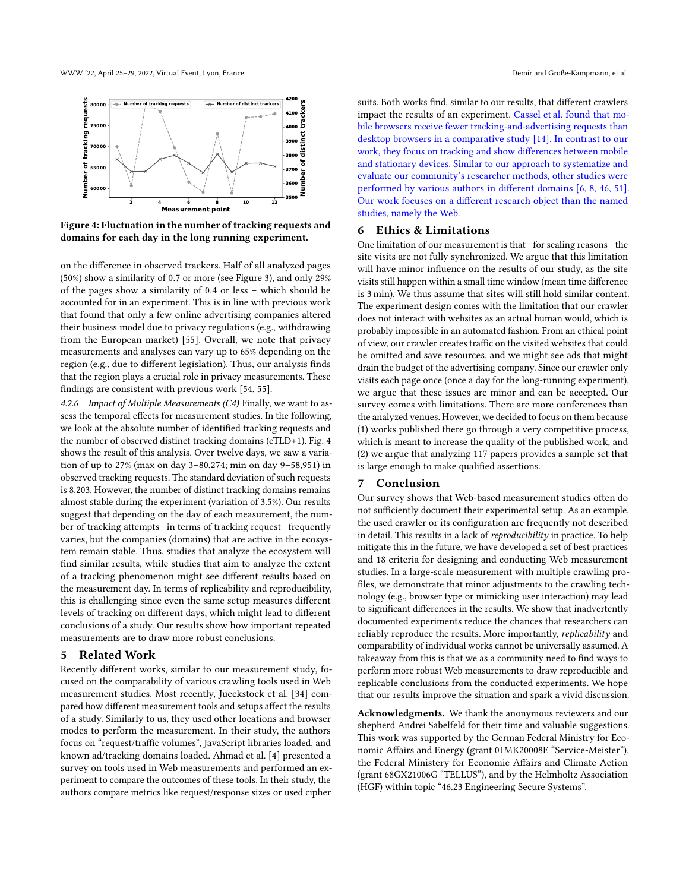<span id="page-7-0"></span>

Figure 4: Fluctuation in the number of tracking requests and domains for each day in the long running experiment.

on the difference in observed trackers. Half of all analyzed pages (50%) show a similarity of 0.7 or more (see Figure [3\)](#page-6-0), and only 29% of the pages show a similarity of 0.4 or less – which should be accounted for in an experiment. This is in line with previous work that found that only a few online advertising companies altered their business model due to privacy regulations (e.g., withdrawing from the European market) [\[55\]](#page-9-0). Overall, we note that privacy measurements and analyses can vary up to 65% depending on the region (e.g., due to different legislation). Thus, our analysis finds that the region plays a crucial role in privacy measurements. These findings are consistent with previous work [\[54,](#page-9-3) [55\]](#page-9-0).

4.2.6 Impact of Multiple Measurements (C4) Finally, we want to assess the temporal effects for measurement studies. In the following, we look at the absolute number of identified tracking requests and the number of observed distinct tracking domains (eTLD+1). Fig. [4](#page-7-0) shows the result of this analysis. Over twelve days, we saw a variation of up to 27% (max on day 3–80,274; min on day 9–58,951) in observed tracking requests. The standard deviation of such requests is 8,203. However, the number of distinct tracking domains remains almost stable during the experiment (variation of 3.5%). Our results suggest that depending on the day of each measurement, the number of tracking attempts—in terms of tracking request—frequently varies, but the companies (domains) that are active in the ecosystem remain stable. Thus, studies that analyze the ecosystem will find similar results, while studies that aim to analyze the extent of a tracking phenomenon might see different results based on the measurement day. In terms of replicability and reproducibility, this is challenging since even the same setup measures different levels of tracking on different days, which might lead to different conclusions of a study. Our results show how important repeated measurements are to draw more robust conclusions.

## 5 Related Work

Recently different works, similar to our measurement study, focused on the comparability of various crawling tools used in Web measurement studies. Most recently, Jueckstock et al. [\[34\]](#page-8-25) compared how different measurement tools and setups affect the results of a study. Similarly to us, they used other locations and browser modes to perform the measurement. In their study, the authors focus on "request/traffic volumes", JavaScript libraries loaded, and known ad/tracking domains loaded. Ahmad et al. [\[4\]](#page-8-18) presented a survey on tools used in Web measurements and performed an experiment to compare the outcomes of these tools. In their study, the authors compare metrics like request/response sizes or used cipher

suits. Both works find, similar to our results, that different crawlers impact the results of an experiment. Cassel et al. found that mobile browsers receive fewer tracking-and-advertising requests than desktop browsers in a comparative study [\[14\]](#page-8-39). In contrast to our work, they focus on tracking and show differences between mobile and stationary devices. Similar to our approach to systematize and evaluate our community's researcher methods, other studies were performed by various authors in different domains [\[6,](#page-8-40) [8,](#page-8-36) [46,](#page-8-41) [51\]](#page-8-37). Our work focuses on a different research object than the named studies, namely the Web.

## <span id="page-7-1"></span>6 Ethics & Limitations

One limitation of our measurement is that—for scaling reasons—the site visits are not fully synchronized. We argue that this limitation will have minor influence on the results of our study, as the site visits still happen within a small time window (mean time difference is 3 min). We thus assume that sites will still hold similar content. The experiment design comes with the limitation that our crawler does not interact with websites as an actual human would, which is probably impossible in an automated fashion. From an ethical point of view, our crawler creates traffic on the visited websites that could be omitted and save resources, and we might see ads that might drain the budget of the advertising company. Since our crawler only visits each page once (once a day for the long-running experiment), we argue that these issues are minor and can be accepted. Our survey comes with limitations. There are more conferences than the analyzed venues. However, we decided to focus on them because (1) works published there go through a very competitive process, which is meant to increase the quality of the published work, and (2) we argue that analyzing 117 papers provides a sample set that is large enough to make qualified assertions.

### 7 Conclusion

Our survey shows that Web-based measurement studies often do not sufficiently document their experimental setup. As an example, the used crawler or its configuration are frequently not described in detail. This results in a lack of *reproducibility* in practice. To help mitigate this in the future, we have developed a set of best practices and 18 criteria for designing and conducting Web measurement studies. In a large-scale measurement with multiple crawling profiles, we demonstrate that minor adjustments to the crawling technology (e.g., browser type or mimicking user interaction) may lead to significant differences in the results. We show that inadvertently documented experiments reduce the chances that researchers can reliably reproduce the results. More importantly, replicability and comparability of individual works cannot be universally assumed. A takeaway from this is that we as a community need to find ways to perform more robust Web measurements to draw reproducible and replicable conclusions from the conducted experiments. We hope that our results improve the situation and spark a vivid discussion.

Acknowledgments. We thank the anonymous reviewers and our shepherd Andrei Sabelfeld for their time and valuable suggestions. This work was supported by the German Federal Ministry for Economic Affairs and Energy (grant 01MK20008E "Service-Meister"), the Federal Ministery for Economic Affairs and Climate Action (grant 68GX21006G "TELLUS"), and by the Helmholtz Association (HGF) within topic "46.23 Engineering Secure Systems".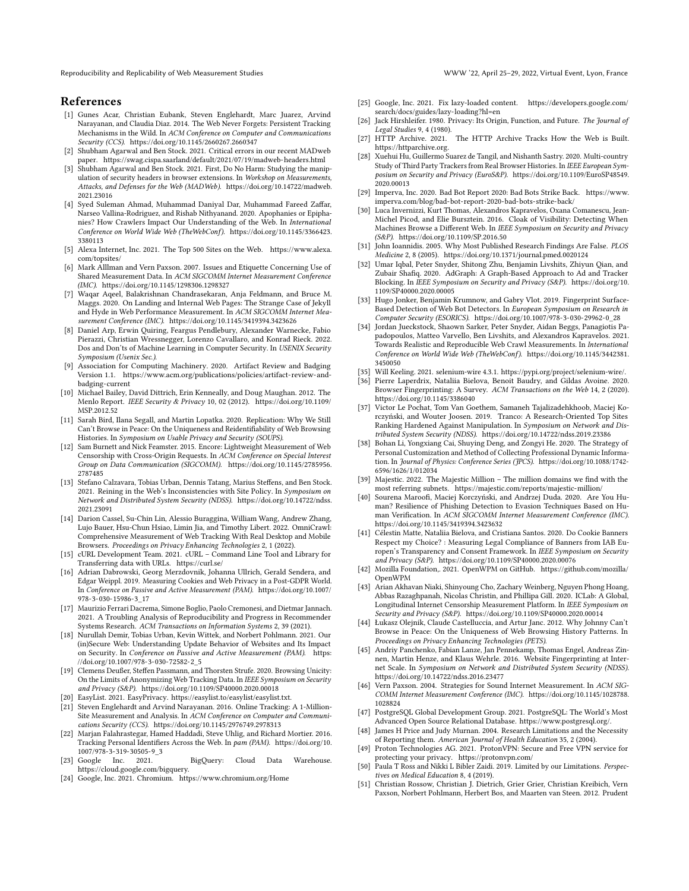Reproducibility and Replicability of Web Measurement Studies WWW '22, April 25–29, 2022, Virtual Event, Lyon, France

## References

- <span id="page-8-43"></span>[1] Gunes Acar, Christian Eubank, Steven Englehardt, Marc Juarez, Arvind Narayanan, and Claudia Diaz. 2014. The Web Never Forgets: Persistent Tracking Mechanisms in the Wild. In ACM Conference on Computer and Communications Security (CCS).<https://doi.org/10.1145/2660267.2660347>
- <span id="page-8-33"></span>[2] Shubham Agarwal and Ben Stock. 2021. Critical errors in our recent MADweb paper.<https://swag.cispa.saarland/default/2021/07/19/madweb-headers.html>
- <span id="page-8-34"></span>[3] Shubham Agarwal and Ben Stock. 2021. First, Do No Harm: Studying the manipulation of security headers in browser extensions. In Workshop on Measurements, Attacks, and Defenses for the Web (MADWeb). [https://doi.org/10.14722/madweb.](https://doi.org/10.14722/madweb.2021.23016) [2021.23016](https://doi.org/10.14722/madweb.2021.23016)
- <span id="page-8-18"></span>[4] Syed Suleman Ahmad, Muhammad Daniyal Dar, Muhammad Fareed Zaffar, Narseo Vallina-Rodriguez, and Rishab Nithyanand. 2020. Apophanies or Epiphanies? How Crawlers Impact Our Understanding of the Web. In International Conference on World Wide Web (TheWebConf). [https://doi.org/10.1145/3366423.](https://doi.org/10.1145/3366423.3380113) [3380113](https://doi.org/10.1145/3366423.3380113)
- <span id="page-8-7"></span>[5] Alexa Internet, Inc. 2021. The Top 500 Sites on the Web. [https://www.alexa.](https://www.alexa.com/topsites/) [com/topsites/](https://www.alexa.com/topsites/)
- <span id="page-8-40"></span>[6] Mark Alllman and Vern Paxson. 2007. Issues and Etiquette Concerning Use of Shared Measurement Data. In ACM SIGCOMM Internet Measurement Conference (IMC).<https://doi.org/10.1145/1298306.1298327>
- <span id="page-8-9"></span>[7] Waqar Aqeel, Balakrishnan Chandrasekaran, Anja Feldmann, and Bruce M. Maggs. 2020. On Landing and Internal Web Pages: The Strange Case of Jekyll and Hyde in Web Performance Measurement. In ACM SIGCOMM Internet Measurement Conference (IMC).<https://doi.org/10.1145/3419394.3423626>
- <span id="page-8-36"></span>[8] Daniel Arp, Erwin Quiring, Feargus Pendlebury, Alexander Warnecke, Fabio Pierazzi, Christian Wressnegger, Lorenzo Cavallaro, and Konrad Rieck. 2022. Dos and Don'ts of Machine Learning in Computer Security. In USENIX Security Symposium (Usenix Sec.).
- <span id="page-8-6"></span>[9] Association for Computing Machinery. 2020. Artifact Review and Badging Version 1.1. [https://www.acm.org/publications/policies/artifact-review-and](https://www.acm.org/publications/policies/artifact-review-and-badging-current)[badging-current](https://www.acm.org/publications/policies/artifact-review-and-badging-current)
- <span id="page-8-45"></span>[10] Michael Bailey, David Dittrich, Erin Kenneally, and Doug Maughan. 2012. The Menlo Report. IEEE Security & Privacy 10, 02 (2012). [https://doi.org/10.1109/](https://doi.org/10.1109/MSP.2012.52) [MSP.2012.52](https://doi.org/10.1109/MSP.2012.52)
- <span id="page-8-11"></span>[11] Sarah Bird, Ilana Segall, and Martin Lopatka. 2020. Replication: Why We Still Can't Browse in Peace: On the Uniqueness and Reidentifiability of Web Browsing Histories. In Symposium on Usable Privacy and Security (SOUPS).
- <span id="page-8-28"></span>[12] Sam Burnett and Nick Feamster. 2015. Encore: Lightweight Measurement of Web Censorship with Cross-Origin Requests. In ACM Conference on Special Interest Group on Data Communication (SIGCOMM). [https://doi.org/10.1145/2785956.](https://doi.org/10.1145/2785956.2787485) [2787485](https://doi.org/10.1145/2785956.2787485)
- <span id="page-8-44"></span>[13] Stefano Calzavara, Tobias Urban, Dennis Tatang, Marius Steffens, and Ben Stock. 2021. Reining in the Web's Inconsistencies with Site Policy. In Symposium on Network and Distributed System Security (NDSS). [https://doi.org/10.14722/ndss.](https://doi.org/10.14722/ndss.2021.23091) [2021.23091](https://doi.org/10.14722/ndss.2021.23091)
- <span id="page-8-39"></span>[14] Darion Cassel, Su-Chin Lin, Alessio Buraggina, William Wang, Andrew Zhang, Lujo Bauer, Hsu-Chun Hsiao, Limin Jia, and Timothy Libert. 2022. OmniCrawl: Comprehensive Measurement of Web Tracking With Real Desktop and Mobile Browsers. Proceedings on Privacy Enhancing Technologies 2, 1 (2022).
- <span id="page-8-16"></span>[15] cURL Development Team. 2021. cURL – Command Line Tool and Library for Transferring data with URLs.<https://curl.se/>
- <span id="page-8-27"></span>[16] Adrian Dabrowski, Georg Merzdovnik, Johanna Ullrich, Gerald Sendera, and Edgar Weippl. 2019. Measuring Cookies and Web Privacy in a Post-GDPR World. In Conference on Passive and Active Measurement (PAM). [https://doi.org/10.1007/](https://doi.org/10.1007/978-3-030-15986-3_17) [978-3-030-15986-3\\_17](https://doi.org/10.1007/978-3-030-15986-3_17)
- <span id="page-8-4"></span>[17] Maurizio Ferrari Dacrema, Simone Boglio, Paolo Cremonesi, and Dietmar Jannach. 2021. A Troubling Analysis of Reproducibility and Progress in Recommender Systems Research. ACM Transactions on Information Systems 2, 39 (2021).
- <span id="page-8-15"></span>[18] Nurullah Demir, Tobias Urban, Kevin Wittek, and Norbert Pohlmann. 2021. Our (in)Secure Web: Understanding Update Behavior of Websites and Its Impact on Security. In Conference on Passive and Active Measurement (PAM). [https:](https://doi.org/10.1007/978-3-030-72582-2_5) [//doi.org/10.1007/978-3-030-72582-2\\_5](https://doi.org/10.1007/978-3-030-72582-2_5)
- <span id="page-8-0"></span>[19] Clemens Deußer, Steffen Passmann, and Thorsten Strufe. 2020. Browsing Unicity: On the Limits of Anonymizing Web Tracking Data. In IEEE Symposium on Security and Privacy (S&P).<https://doi.org/10.1109/SP40000.2020.00018>
- <span id="page-8-38"></span>[20] EasyList. 2021. EasyPrivacy. https://easylist.to/easylist/easylist.txt.
- <span id="page-8-2"></span>[21] Steven Englehardt and Arvind Narayanan. 2016. Online Tracking: A 1-Million-Site Measurement and Analysis. In ACM Conference on Computer and Communications Security (CCS).<https://doi.org/10.1145/2976749.2978313>
- <span id="page-8-12"></span>[22] Marjan Falahrastegar, Hamed Haddadi, Steve Uhlig, and Richard Mortier. 2016. Tracking Personal Identifiers Across the Web. In pam (PAM). [https://doi.org/10.](https://doi.org/10.1007/978-3-319-30505-9_3) [1007/978-3-319-30505-9\\_3](https://doi.org/10.1007/978-3-319-30505-9_3)
- <span id="page-8-49"></span>[23] Google Inc. 2021. BigQuery: Cloud Data Warehouse. https://cloud.google.com/bigquery.
- <span id="page-8-46"></span>[24] Google, Inc. 2021. Chromium.<https://www.chromium.org/Home>
- <span id="page-8-24"></span>[25] Google, Inc. 2021. Fix lazy-loaded content. [https://developers.google.com/](https://developers.google.com/search/docs/guides/lazy-loading?hl=en) [search/docs/guides/lazy-loading?hl=en](https://developers.google.com/search/docs/guides/lazy-loading?hl=en)
- <span id="page-8-35"></span>[26] Jack Hirshleifer. 1980. Privacy: Its Origin, Function, and Future. The Journal of Legal Studies 9, 4 (1980).
- <span id="page-8-14"></span>[27] HTTP Archive. 2021. The HTTP Archive Tracks How the Web is Built. https://httparchive.org.
- <span id="page-8-26"></span>[28] Xuehui Hu, Guillermo Suarez de Tangil, and Nishanth Sastry. 2020. Multi-country Study of Third Party Trackers from Real Browser Histories. In IEEE European Symposium on Security and Privacy (EuroS&P). [https://doi.org/10.1109/EuroSP48549.](https://doi.org/10.1109/EuroSP48549.2020.00013) [2020.00013](https://doi.org/10.1109/EuroSP48549.2020.00013)
- <span id="page-8-20"></span>[29] Imperva, Inc. 2020. Bad Bot Report 2020: Bad Bots Strike Back. [https://www.](https://www.imperva.com/blog/bad-bot-report-2020-bad-bots-strike-back/) [imperva.com/blog/bad-bot-report-2020-bad-bots-strike-back/](https://www.imperva.com/blog/bad-bot-report-2020-bad-bots-strike-back/)
- <span id="page-8-21"></span>[30] Luca Invernizzi, Kurt Thomas, Alexandros Kapravelos, Oxana Comanescu, Jean-Michel Picod, and Elie Bursztein. 2016. Cloak of Visibility: Detecting When Machines Browse a Different Web. In IEEE Symposium on Security and Privacy (S&P).<https://doi.org/10.1109/SP.2016.50>
- <span id="page-8-5"></span>[31] John Ioannidis. 2005. Why Most Published Research Findings Are False. PLOS Medicine 2, 8 (2005).<https://doi.org/10.1371/journal.pmed.0020124>
- <span id="page-8-1"></span>[32] Umar Iqbal, Peter Snyder, Shitong Zhu, Benjamin Livshits, Zhiyun Qian, and Zubair Shafiq. 2020. AdGraph: A Graph-Based Approach to Ad and Tracker Blocking. In IEEE Symposium on Security and Privacy (S&P). [https://doi.org/10.](https://doi.org/10.1109/SP40000.2020.00005) [1109/SP40000.2020.00005](https://doi.org/10.1109/SP40000.2020.00005)
- <span id="page-8-23"></span>[33] Hugo Jonker, Benjamin Krumnow, and Gabry Vlot. 2019. Fingerprint Surface-Based Detection of Web Bot Detectors. In European Symposium on Research in Computer Security (ESORICS). [https://doi.org/10.1007/978-3-030-29962-0\\_28](https://doi.org/10.1007/978-3-030-29962-0_28)
- <span id="page-8-25"></span>[34] Jordan Jueckstock, Shaown Sarker, Peter Snyder, Aidan Beggs, Panagiotis Papadopoulos, Matteo Varvello, Ben Livshits, and Alexandros Kapravelos. 2021. Towards Realistic and Reproducible Web Crawl Measurements. In International Conference on World Wide Web (TheWebConf). [https://doi.org/10.1145/3442381.](https://doi.org/10.1145/3442381.3450050) [3450050](https://doi.org/10.1145/3442381.3450050)
- <span id="page-8-48"></span>[35] Will Keeling. 2021. selenium-wire 4.3.1. https://pypi.org/project/selenium-wire/.
- <span id="page-8-30"></span>[36] Pierre Laperdrix, Nataliia Bielova, Benoit Baudry, and Gildas Avoine. 2020. Browser Fingerprinting: A Survey. ACM Transactions on the Web 14, 2 (2020). <https://doi.org/10.1145/3386040>
- <span id="page-8-8"></span>[37] Victor Le Pochat, Tom Van Goethem, Samaneh Tajalizadehkhoob, Maciej Korczyński, and Wouter Joosen. 2019. Tranco: A Research-Oriented Top Sites Ranking Hardened Against Manipulation. In Symposium on Network and Distributed System Security (NDSS).<https://doi.org/10.14722/ndss.2019.23386>
- <span id="page-8-19"></span>[38] Bohan Li, Yongxiang Cai, Shuying Deng, and Zongyi He. 2020. The Strategy of Personal Customization and Method of Collecting Professional Dynamic Information. In Journal of Physics: Conference Series (JPCS). [https://doi.org/10.1088/1742-](https://doi.org/10.1088/1742-6596/1626/1/012034) [6596/1626/1/012034](https://doi.org/10.1088/1742-6596/1626/1/012034)
- <span id="page-8-10"></span>[39] Majestic. 2022. The Majestic Million – The million domains we find with the most referring subnets.<https://majestic.com/reports/majestic-million/>
- <span id="page-8-22"></span>[40] Sourena Maroofi, Maciej Korczyński, and Andrzej Duda. 2020. Are You Human? Resilience of Phishing Detection to Evasion Techniques Based on Human Verification. In ACM SIGCOMM Internet Measurement Conference (IMC). <https://doi.org/10.1145/3419394.3423632>
- <span id="page-8-42"></span>[41] Célestin Matte, Nataliia Bielova, and Cristiana Santos. 2020. Do Cookie Banners Respect my Choice? : Measuring Legal Compliance of Banners from IAB Europen's Transparency and Consent Framework. In IEEE Symposium on Security and Privacy (S&P).<https://doi.org/10.1109/SP40000.2020.00076>
- <span id="page-8-17"></span>[42] Mozilla Foundation,. 2021. OpenWPM on GitHub. [https://github.com/mozilla/](https://github.com/mozilla/OpenWPM) [OpenWPM](https://github.com/mozilla/OpenWPM)
- <span id="page-8-29"></span>[43] Arian Akhavan Niaki, Shinyoung Cho, Zachary Weinberg, Nguyen Phong Hoang, Abbas Razaghpanah, Nicolas Christin, and Phillipa Gill. 2020. ICLab: A Global, Longitudinal Internet Censorship Measurement Platform. In IEEE Symposium on Security and Privacy (S&P).<https://doi.org/10.1109/SP40000.2020.00014>
- <span id="page-8-13"></span>[44] Łukasz Olejnik, Claude Castelluccia, and Artur Janc. 2012. Why Johnny Can't Browse in Peace: On the Uniqueness of Web Browsing History Patterns. In Proceedings on Privacy Enhancing Technologies (PETS).
- <span id="page-8-3"></span>[45] Andriy Panchenko, Fabian Lanze, Jan Pennekamp, Thomas Engel, Andreas Zinnen, Martin Henze, and Klaus Wehrle. 2016. Website Fingerprinting at Internet Scale. In Symposium on Network and Distributed System Security (NDSS). <https://doi.org/10.14722/ndss.2016.23477>
- <span id="page-8-41"></span>[46] Vern Paxson. 2004. Strategies for Sound Internet Measurement. In ACM SIG-COMM Internet Measurement Conference (IMC). [https://doi.org/10.1145/1028788.](https://doi.org/10.1145/1028788.1028824) [1028824](https://doi.org/10.1145/1028788.1028824)
- <span id="page-8-50"></span>[47] PostgreSQL Global Development Group. 2021. PostgreSQL: The World's Most Advanced Open Source Relational Database. https://www.postgresql.org/.
- <span id="page-8-31"></span>[48] James H Price and Judy Murnan. 2004. Research Limitations and the Necessity of Reporting them. American Journal of Health Education 35, 2 (2004).
- <span id="page-8-47"></span>[49] Proton Technologies AG. 2021. ProtonVPN: Secure and Free VPN service for protecting your privacy.<https://protonvpn.com/>
- <span id="page-8-32"></span>[50] Paula T Ross and Nikki L Bibler Zaidi. 2019. Limited by our Limitations. Perspectives on Medical Education 8, 4 (2019).
- <span id="page-8-37"></span>[51] Christian Rossow, Christian J. Dietrich, Grier Grier, Christian Kreibich, Vern Paxson, Norbert Pohlmann, Herbert Bos, and Maarten van Steen. 2012. Prudent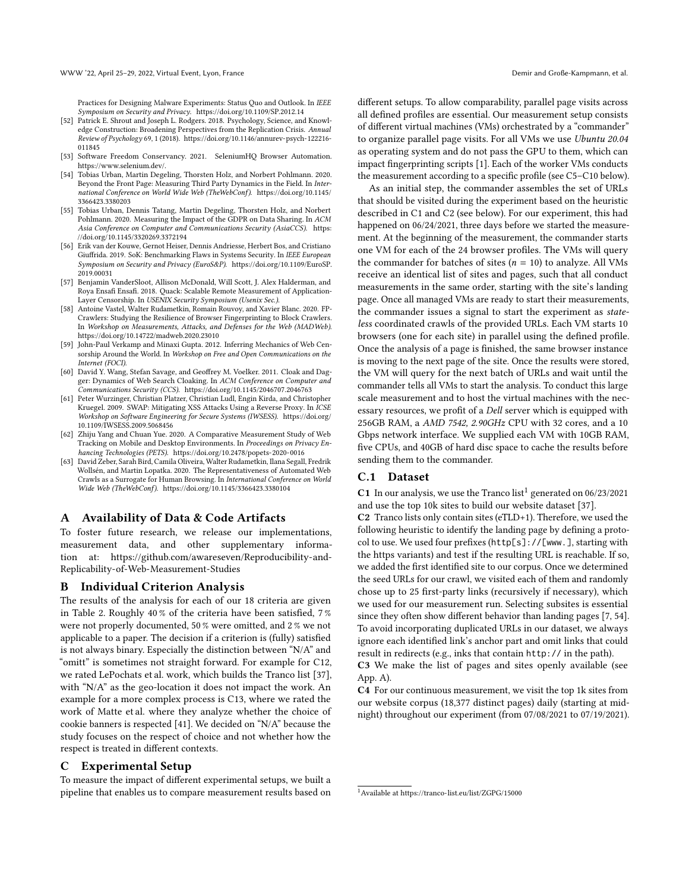Practices for Designing Malware Experiments: Status Quo and Outlook. In IEEE Symposium on Security and Privacy.<https://doi.org/10.1109/SP.2012.14>

- <span id="page-9-2"></span>[52] Patrick E. Shrout and Joseph L. Rodgers. 2018. Psychology, Science, and Knowledge Construction: Broadening Perspectives from the Replication Crisis. Annual Review of Psychology 69, 1 (2018). [https://doi.org/10.1146/annurev-psych-122216-](https://doi.org/10.1146/annurev-psych-122216-011845) [011845](https://doi.org/10.1146/annurev-psych-122216-011845)
- <span id="page-9-14"></span>[53] Software Freedom Conservancy. 2021. SeleniumHQ Browser Automation. https://www.selenium.dev/.
- <span id="page-9-3"></span>[54] Tobias Urban, Martin Degeling, Thorsten Holz, and Norbert Pohlmann. 2020. Beyond the Front Page: Measuring Third Party Dynamics in the Field. In International Conference on World Wide Web (TheWebConf). [https://doi.org/10.1145/](https://doi.org/10.1145/3366423.3380203) [3366423.3380203](https://doi.org/10.1145/3366423.3380203)
- <span id="page-9-0"></span>[55] Tobias Urban, Dennis Tatang, Martin Degeling, Thorsten Holz, and Norbert Pohlmann. 2020. Measuring the Impact of the GDPR on Data Sharing. In ACM Asia Conference on Computer and Communications Security (AsiaCCS). [https:](https://doi.org/10.1145/3320269.3372194) [//doi.org/10.1145/3320269.3372194](https://doi.org/10.1145/3320269.3372194)
- <span id="page-9-9"></span>[56] Erik van der Kouwe, Gernot Heiser, Dennis Andriesse, Herbert Bos, and Cristiano Giuffrida. 2019. SoK: Benchmarking Flaws in Systems Security. In IEEE European Symposium on Security and Privacy (EuroS&P). [https://doi.org/10.1109/EuroSP.](https://doi.org/10.1109/EuroSP.2019.00031) [2019.00031](https://doi.org/10.1109/EuroSP.2019.00031)
- <span id="page-9-13"></span>[57] Benjamin VanderSloot, Allison McDonald, Will Scott, J. Alex Halderman, and Roya Ensafi Ensafi. 2018. Quack: Scalable Remote Measurement of Application-Layer Censorship. In USENIX Security Symposium (Usenix Sec.).
- <span id="page-9-7"></span>[58] Antoine Vastel, Walter Rudametkin, Romain Rouvoy, and Xavier Blanc. 2020. FP-Crawlers: Studying the Resilience of Browser Fingerprinting to Block Crawlers. In Workshop on Measurements, Attacks, and Defenses for the Web (MADWeb). <https://doi.org/10.14722/madweb.2020.23010>
- <span id="page-9-15"></span>[59] John-Paul Verkamp and Minaxi Gupta. 2012. Inferring Mechanics of Web Censorship Around the World. In Workshop on Free and Open Communications on the Internet (FOCI).
- <span id="page-9-5"></span>[60] David Y. Wang, Stefan Savage, and Geoffrey M. Voelker. 2011. Cloak and Dagger: Dynamics of Web Search Cloaking. In ACM Conference on Computer and Communications Security (CCS).<https://doi.org/10.1145/2046707.2046763>
- <span id="page-9-1"></span>[61] Peter Wurzinger, Christian Platzer, Christian Ludl, Engin Kirda, and Christopher Kruegel. 2009. SWAP: Mitigating XSS Attacks Using a Reverse Proxy. In ICSE Workshop on Software Engineering for Secure Systems (IWSESS). [https://doi.org/](https://doi.org/10.1109/IWSESS.2009.5068456) [10.1109/IWSESS.2009.5068456](https://doi.org/10.1109/IWSESS.2009.5068456)
- <span id="page-9-4"></span>[62] Zhiju Yang and Chuan Yue. 2020. A Comparative Measurement Study of Web Tracking on Mobile and Desktop Environments. In Proceedings on Privacy Enhancing Technologies (PETS).<https://doi.org/10.2478/popets-2020-0016>
- <span id="page-9-6"></span>[63] David Zeber, Sarah Bird, Camila Oliveira, Walter Rudametkin, Ilana Segall, Fredrik Wollsén, and Martin Lopatka. 2020. The Representativeness of Automated Web Crawls as a Surrogate for Human Browsing. In International Conference on World Wide Web (TheWebConf).<https://doi.org/10.1145/3366423.3380104>

## <span id="page-9-11"></span>A Availability of Data & Code Artifacts

To foster future research, we release our implementations, measurement data, and other supplementary information at: [https://github.com/awareseven/Reproducibility-and-](https://github.com/awareseven/Reproducibility-and-Replicability-of-Web-Measurement-Studies)[Replicability-of-Web-Measurement-Studies](https://github.com/awareseven/Reproducibility-and-Replicability-of-Web-Measurement-Studies)

## <span id="page-9-8"></span>B Individual Criterion Analysis

The results of the analysis for each of our 18 criteria are given in Table [2.](#page-10-0) Roughly 40 % of the criteria have been satisfied, 7 % were not properly documented, 50 % were omitted, and 2 % we not applicable to a paper. The decision if a criterion is (fully) satisfied is not always binary. Especially the distinction between "N/A" and "omitt" is sometimes not straight forward. For example for C12, we rated LePochats et al. work, which builds the Tranco list [\[37\]](#page-8-8), with "N/A" as the geo-location it does not impact the work. An example for a more complex process is C13, where we rated the work of Matte et al. where they analyze whether the choice of cookie banners is respected [\[41\]](#page-8-42). We decided on "N/A" because the study focuses on the respect of choice and not whether how the respect is treated in different contexts.

## <span id="page-9-10"></span>C Experimental Setup

To measure the impact of different experimental setups, we built a pipeline that enables us to compare measurement results based on different setups. To allow comparability, parallel page visits across all defined profiles are essential. Our measurement setup consists of different virtual machines (VMs) orchestrated by a "commander" to organize parallel page visits. For all VMs we use Ubuntu 20.04 as operating system and do not pass the GPU to them, which can impact fingerprinting scripts [\[1\]](#page-8-43). Each of the worker VMs conducts the measurement according to a specific profile (see C5–C10 below).

As an initial step, the commander assembles the set of URLs that should be visited during the experiment based on the heuristic described in C1 and C2 (see below). For our experiment, this had happened on 06/24/2021, three days before we started the measurement. At the beginning of the measurement, the commander starts one VM for each of the 24 browser profiles. The VMs will query the commander for batches of sites ( $n = 10$ ) to analyze. All VMs receive an identical list of sites and pages, such that all conduct measurements in the same order, starting with the site's landing page. Once all managed VMs are ready to start their measurements, the commander issues a signal to start the experiment as stateless coordinated crawls of the provided URLs. Each VM starts 10 browsers (one for each site) in parallel using the defined profile. Once the analysis of a page is finished, the same browser instance is moving to the next page of the site. Once the results were stored, the VM will query for the next batch of URLs and wait until the commander tells all VMs to start the analysis. To conduct this large scale measurement and to host the virtual machines with the necessary resources, we profit of a Dell server which is equipped with 256GB RAM, a AMD 7542, 2.90GHz CPU with 32 cores, and a 10 Gbps network interface. We supplied each VM with 10GB RAM, five CPUs, and 40GB of hard disc space to cache the results before sending them to the commander.

## C.1 Dataset

**C[1](#page-9-12)** In our analysis, we use the Tranco list<sup>1</sup> generated on  $06/23/2021$ and use the top 10k sites to build our website dataset [\[37\]](#page-8-8).

C2 Tranco lists only contain sites (eTLD+1). Therefore, we used the following heuristic to identify the landing page by defining a protocol to use. We used four prefixes (http[s]://[www.], starting with the https variants) and test if the resulting URL is reachable. If so, we added the first identified site to our corpus. Once we determined the seed URLs for our crawl, we visited each of them and randomly chose up to 25 first-party links (recursively if necessary), which we used for our measurement run. Selecting subsites is essential since they often show different behavior than landing pages [\[7,](#page-8-9) [54\]](#page-9-3). To avoid incorporating duplicated URLs in our dataset, we always ignore each identified link's anchor part and omit links that could result in redirects (e.g., inks that contain http:// in the path).

C3 We make the list of pages and sites openly available (see App. [A\)](#page-9-11).

C4 For our continuous measurement, we visit the top 1k sites from our website corpus (18,377 distinct pages) daily (starting at midnight) throughout our experiment (from 07/08/2021 to 07/19/2021).

<span id="page-9-12"></span><sup>1</sup>Available at<https://tranco-list.eu/list/ZGPG/15000>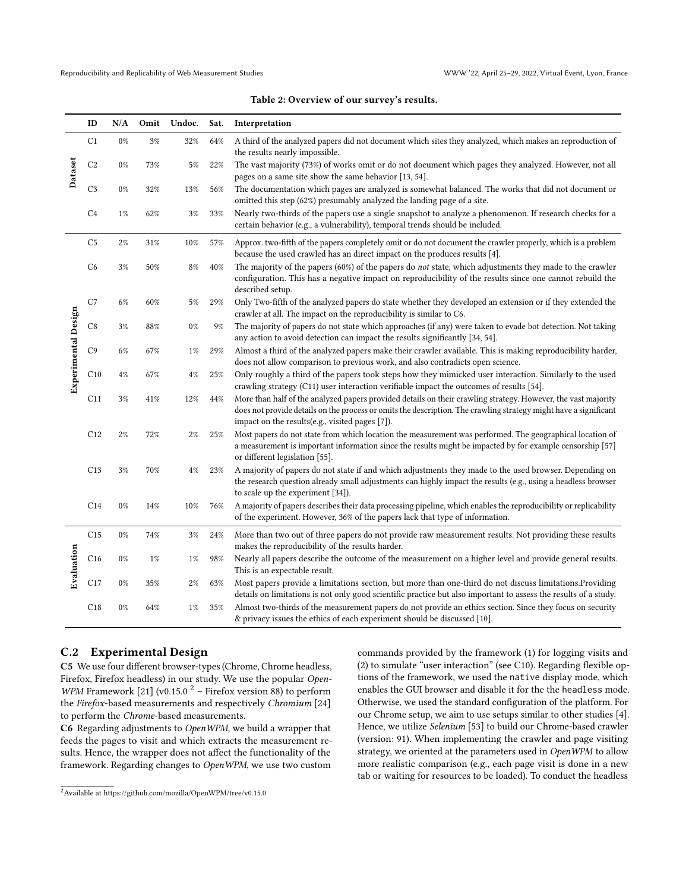Dataset

Experimental Design

Experimental Design

Evaluation

<span id="page-10-0"></span>

| ID              | N/A   |       | Omit Undoc. | Sat. | Interpretation                                                                                                                                                                                                                                                                       |
|-----------------|-------|-------|-------------|------|--------------------------------------------------------------------------------------------------------------------------------------------------------------------------------------------------------------------------------------------------------------------------------------|
| C <sub>1</sub>  | $0\%$ | 3%    | 32%         | 64%  | A third of the analyzed papers did not document which sites they analyzed, which makes an reproduction of<br>the results nearly impossible.                                                                                                                                          |
| C <sub>2</sub>  | $0\%$ | 73%   | 5%          | 22%  | The vast majority (73%) of works omit or do not document which pages they analyzed. However, not all<br>pages on a same site show the same behavior [13, 54].                                                                                                                        |
| C <sub>3</sub>  | $0\%$ | 32%   | 13%         | 56%  | The documentation which pages are analyzed is somewhat balanced. The works that did not document or<br>omitted this step (62%) presumably analyzed the landing page of a site.                                                                                                       |
| C <sub>4</sub>  | $1\%$ | 62%   | 3%          | 33%  | Nearly two-thirds of the papers use a single snapshot to analyze a phenomenon. If research checks for a<br>certain behavior (e.g., a vulnerability), temporal trends should be included.                                                                                             |
| C <sub>5</sub>  | 2%    | 31%   | 10%         | 57%  | Approx. two-fifth of the papers completely omit or do not document the crawler properly, which is a problem<br>because the used crawled has an direct impact on the produces results [4].                                                                                            |
| C <sub>6</sub>  | $3\%$ | 50%   | 8%          | 40%  | The majority of the papers (60%) of the papers do not state, which adjustments they made to the crawler<br>configuration. This has a negative impact on reproducibility of the results since one cannot rebuild the<br>described setup.                                              |
| C7              | 6%    | 60%   | 5%          | 29%  | Only Two-fifth of the analyzed papers do state whether they developed an extension or if they extended the<br>crawler at all. The impact on the reproducibility is similar to C6.                                                                                                    |
| C <sub>8</sub>  | 3%    | 88%   | 0%          | 9%   | The majority of papers do not state which approaches (if any) were taken to evade bot detection. Not taking<br>any action to avoid detection can impact the results significantly [34, 54].                                                                                          |
| C <sub>9</sub>  | 6%    | 67%   | 1%          | 29%  | Almost a third of the analyzed papers make their crawler available. This is making reproducibility harder,<br>does not allow comparison to previous work, and also contradicts open science.                                                                                         |
| C10             | 4%    | 67%   | 4%          | 25%  | Only roughly a third of the papers took steps how they mimicked user interaction. Similarly to the used<br>crawling strategy (C11) user interaction verifiable impact the outcomes of results [54].                                                                                  |
| C <sub>11</sub> | 3%    | 41%   | 12%         | 44%  | More than half of the analyzed papers provided details on their crawling strategy. However, the vast majority<br>does not provide details on the process or omits the description. The crawling strategy might have a significant<br>impact on the results(e.g., visited pages [7]). |
| C12             | 2%    | 72%   | 2%          | 25%  | Most papers do not state from which location the measurement was performed. The geographical location of<br>a measurement is important information since the results might be impacted by for example censorship [57]<br>or different legislation [55].                              |
| C13             | 3%    | 70%   | 4%          | 23%  | A majority of papers do not state if and which adjustments they made to the used browser. Depending on<br>the research question already small adjustments can highly impact the results (e.g., using a headless browser<br>to scale up the experiment [34]).                         |
| C14             | 0%    | 14%   | 10%         | 76%  | A majority of papers describes their data processing pipeline, which enables the reproducibility or replicability<br>of the experiment. However, 36% of the papers lack that type of information.                                                                                    |
| C <sub>15</sub> | $0\%$ | 74%   | 3%          | 24%  | More than two out of three papers do not provide raw measurement results. Not providing these results<br>makes the reproducibility of the results harder.                                                                                                                            |
| C16             | $0\%$ | $1\%$ | $1\%$       | 98%  | Nearly all papers describe the outcome of the measurement on a higher level and provide general results.<br>This is an expectable result.                                                                                                                                            |
| C17             | 0%    | 35%   | 2%          | 63%  | Most papers provide a limitations section, but more than one-third do not discuss limitations. Providing                                                                                                                                                                             |

C18 0% 64% 1% 35% Almost two-thirds of the measurement papers do not provide an ethics section. Since they focus on security & privacy issues the ethics of each experiment should be discussed [\[10\]](#page-8-45).

#### Table 2: Overview of our survey's results.

C.2 Experimental Design

C5 We use four different browser-types (Chrome, Chrome headless, Firefox, Firefox headless) in our study. We use the popular Open-WPM Framework [\[21\]](#page-8-2) (v0.15.0  $^2$  $^2$  – Firefox version 88) to perform the Firefox-based measurements and respectively Chromium [\[24\]](#page-8-46) to perform the Chrome-based measurements.

C6 Regarding adjustments to OpenWPM, we build a wrapper that feeds the pages to visit and which extracts the measurement results. Hence, the wrapper does not affect the functionality of the framework. Regarding changes to OpenWPM, we use two custom

commands provided by the framework (1) for logging visits and (2) to simulate "user interaction" (see C10). Regarding flexible options of the framework, we used the native display mode, which enables the GUI browser and disable it for the the headless mode. Otherwise, we used the standard configuration of the platform. For our Chrome setup, we aim to use setups similar to other studies [\[4\]](#page-8-18). Hence, we utilize Selenium [\[53\]](#page-9-14) to build our Chrome-based crawler (version: 91). When implementing the crawler and page visiting strategy, we oriented at the parameters used in OpenWPM to allow more realistic comparison (e.g., each page visit is done in a new tab or waiting for resources to be loaded). To conduct the headless

details on limitations is not only good scientific practice but also important to assess the results of a study.

<span id="page-10-1"></span><sup>2</sup>Available at https://github.com/mozilla/OpenWPM/tree/v0.15.0